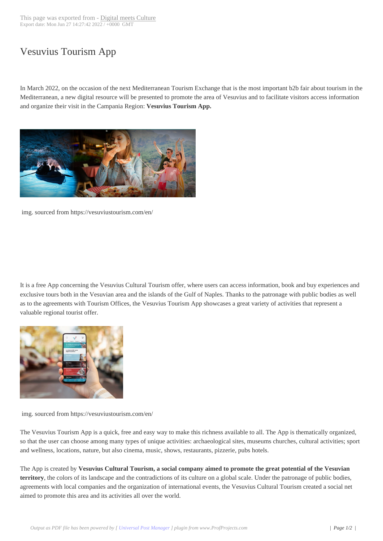## Vesuvius Tourism [App](https://www.digitalmeetsculture.net/?p=58777)

In March 2022, on the occasion of the next Mediterranean Tourism Exchange that is the most important b2b fair about tourism in the Mediterranean, a new digital resource will be presented to promote the area of Vesuvius and to facilitate visitors access information and organize their visit in the Campania Region: **Vesuvius Tourism App.**



img. sourced from https://vesuviustourism.com/en/

It is a free App concerning the Vesuvius Cultural Tourism offer, where users can access information, book and buy experiences and exclusive tours both in the Vesuvian area and the islands of the Gulf of Naples. Thanks to the patronage with public bodies as well as to the agreements with Tourism Offices, the Vesuvius Tourism App showcases a great variety of activities that represent a valuable regional tourist offer.



img. sourced from https://vesuviustourism.com/en/

The Vesuvius Tourism App is a quick, free and easy way to make this richness available to all. The App is thematically organized, so that the user can choose among many types of unique activities: archaeological sites, museums churches, cultural activities; sport and wellness, locations, nature, but also cinema, music, shows, restaurants, pizzerie, pubs hotels.

The App is created by **Vesuvius Cultural Tourism, a social company aimed to promote the great potential of the Vesuvian territory**, the colors of its landscape and the contradictions of its culture on a global scale. Under the patronage of public bodies, agreements with local companies and the organization of international events, the Vesuvius Cultural Tourism created a social net aimed to promote this area and its activities all over the world.